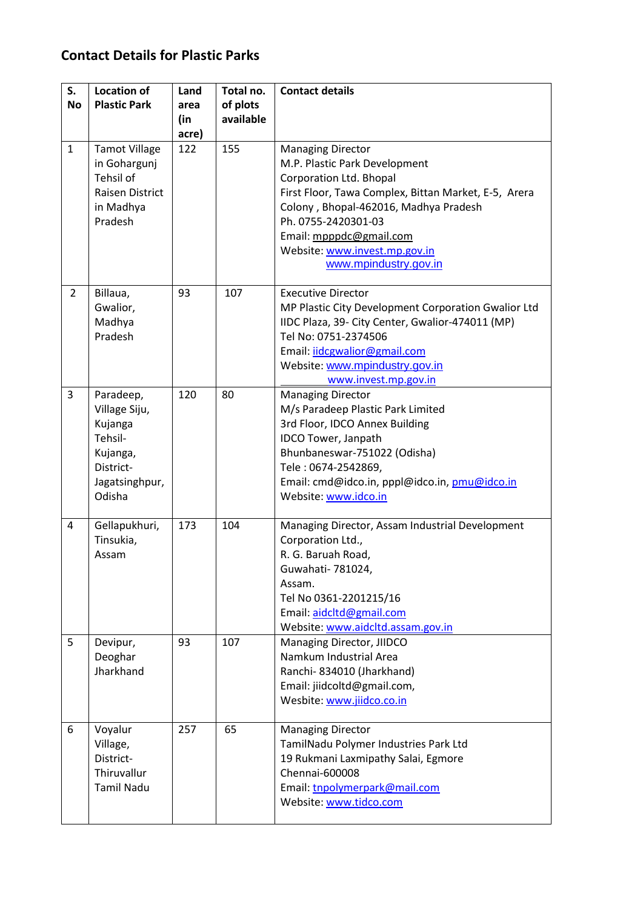## **Contact Details for Plastic Parks**

| S.<br><b>No</b> | <b>Location of</b><br><b>Plastic Park</b>                                                             | Land<br>area<br>(in<br>acre) | Total no.<br>of plots<br>available | <b>Contact details</b>                                                                                                                                                                                                                                                                            |
|-----------------|-------------------------------------------------------------------------------------------------------|------------------------------|------------------------------------|---------------------------------------------------------------------------------------------------------------------------------------------------------------------------------------------------------------------------------------------------------------------------------------------------|
| $\mathbf{1}$    | <b>Tamot Village</b><br>in Gohargunj<br>Tehsil of<br>Raisen District<br>in Madhya<br>Pradesh          | 122                          | 155                                | <b>Managing Director</b><br>M.P. Plastic Park Development<br>Corporation Ltd. Bhopal<br>First Floor, Tawa Complex, Bittan Market, E-5, Arera<br>Colony, Bhopal-462016, Madhya Pradesh<br>Ph. 0755-2420301-03<br>Email: mpppdc@gmail.com<br>Website: www.invest.mp.gov.in<br>www.mpindustry.gov.in |
| $\overline{2}$  | Billaua,<br>Gwalior,<br>Madhya<br>Pradesh                                                             | 93                           | 107                                | <b>Executive Director</b><br>MP Plastic City Development Corporation Gwalior Ltd<br>IIDC Plaza, 39- City Center, Gwalior-474011 (MP)<br>Tel No: 0751-2374506<br>Email: iidcgwalior@gmail.com<br>Website: www.mpindustry.gov.in<br>www.invest.mp.gov.in                                            |
| 3               | Paradeep,<br>Village Siju,<br>Kujanga<br>Tehsil-<br>Kujanga,<br>District-<br>Jagatsinghpur,<br>Odisha | 120                          | 80                                 | <b>Managing Director</b><br>M/s Paradeep Plastic Park Limited<br>3rd Floor, IDCO Annex Building<br>IDCO Tower, Janpath<br>Bhunbaneswar-751022 (Odisha)<br>Tele: 0674-2542869,<br>Email: cmd@idco.in, pppl@idco.in, pmu@idco.in<br>Website: www.idco.in                                            |
| 4               | Gellapukhuri,<br>Tinsukia,<br>Assam                                                                   | 173                          | 104                                | Managing Director, Assam Industrial Development<br>Corporation Ltd.,<br>R. G. Baruah Road,<br>Guwahati- 781024,<br>Assam.<br>Tel No 0361-2201215/16<br>Email: aidcltd@gmail.com<br>Website: www.aidcltd.assam.gov.in                                                                              |
| 5               | Devipur,<br>Deoghar<br>Jharkhand                                                                      | 93                           | 107                                | Managing Director, JIIDCO<br>Namkum Industrial Area<br>Ranchi-834010 (Jharkhand)<br>Email: jiidcoltd@gmail.com,<br>Wesbite: www.jiidco.co.in                                                                                                                                                      |
| 6               | Voyalur<br>Village,<br>District-<br>Thiruvallur<br><b>Tamil Nadu</b>                                  | 257                          | 65                                 | <b>Managing Director</b><br>TamilNadu Polymer Industries Park Ltd<br>19 Rukmani Laxmipathy Salai, Egmore<br>Chennai-600008<br>Email: tnpolymerpark@mail.com<br>Website: www.tidco.com                                                                                                             |